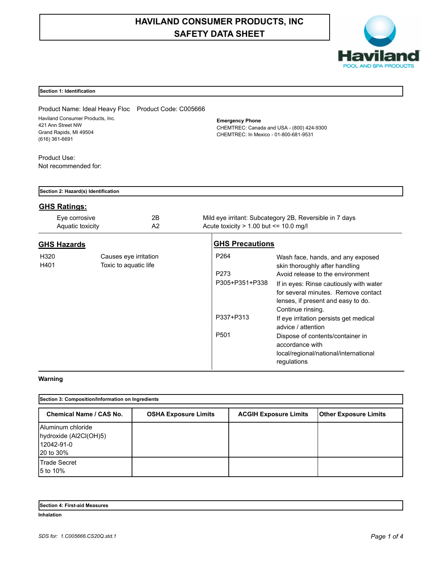# **HAVILAND CONSUMER PRODUCTS, INC SAFETY DATA SHEET**



## **Section 1: Identification**

Product Name: Ideal Heavy Floc Product Code: C005666 Haviland Consumer Products, Inc. 421 Ann Street NW Grand Rapids, MI 49504 (616) 361-6691

**Emergency Phone**

CHEMTREC: Canada and USA - (800) 424-9300 CHEMTREC: In Mexico - 01-800-681-9531

Product Use: Not recommended for:

|                    | Section 2: Hazard(s) Identification |                                                |                                                                             |                                                                                                                                                                                                                                                                                                                                                                                                                                     |  |  |
|--------------------|-------------------------------------|------------------------------------------------|-----------------------------------------------------------------------------|-------------------------------------------------------------------------------------------------------------------------------------------------------------------------------------------------------------------------------------------------------------------------------------------------------------------------------------------------------------------------------------------------------------------------------------|--|--|
|                    | <b>GHS Ratings:</b>                 |                                                |                                                                             |                                                                                                                                                                                                                                                                                                                                                                                                                                     |  |  |
|                    | Eye corrosive<br>Aquatic toxicity   | 2B<br>A2                                       | Acute toxicity $> 1.00$ but $\leq 10.0$ mg/l                                | Mild eye irritant: Subcategory 2B, Reversible in 7 days                                                                                                                                                                                                                                                                                                                                                                             |  |  |
| <b>GHS Hazards</b> |                                     |                                                | <b>GHS Precautions</b>                                                      |                                                                                                                                                                                                                                                                                                                                                                                                                                     |  |  |
| H320<br>H401       |                                     | Causes eye irritation<br>Toxic to aquatic life | P <sub>264</sub><br>P273<br>P305+P351+P338<br>P337+P313<br>P <sub>501</sub> | Wash face, hands, and any exposed<br>skin thoroughly after handling<br>Avoid release to the environment<br>If in eyes: Rinse cautiously with water<br>for several minutes. Remove contact<br>lenses, if present and easy to do.<br>Continue rinsing.<br>If eye irritation persists get medical<br>advice / attention<br>Dispose of contents/container in<br>accordance with<br>local/regional/national/international<br>regulations |  |  |

# **Warning**

| Section 3: Composition/Information on Ingredients                      |                             |                              |                              |  |  |
|------------------------------------------------------------------------|-----------------------------|------------------------------|------------------------------|--|--|
| <b>Chemical Name / CAS No.</b>                                         | <b>OSHA Exposure Limits</b> | <b>ACGIH Exposure Limits</b> | <b>Other Exposure Limits</b> |  |  |
| Aluminum chloride<br>hydroxide (Al2Cl(OH)5)<br>12042-91-0<br>20 to 30% |                             |                              |                              |  |  |
| <b>Trade Secret</b><br>5 to 10%                                        |                             |                              |                              |  |  |

| Section 4: First-aid Measures |  |
|-------------------------------|--|
| Inhalation                    |  |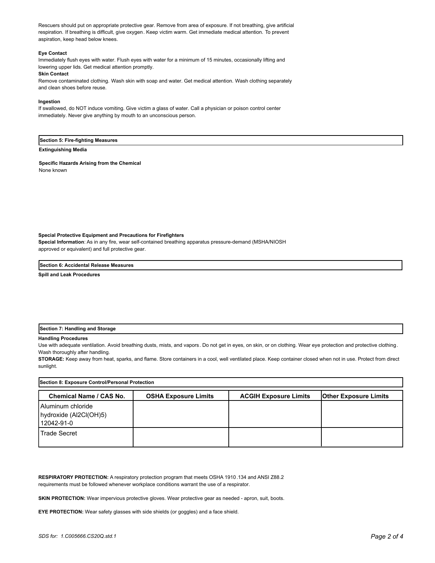Rescuers should put on appropriate protective gear. Remove from area of exposure. If not breathing, give artificial respiration. If breathing is difficult, give oxygen. Keep victim warm. Get immediate medical attention. To prevent aspiration, keep head below knees.

#### **Eye Contact**

Immediately flush eyes with water. Flush eyes with water for a minimum of 15 minutes, occasionally lifting and lowering upper lids. Get medical attention promptly.

### **Skin Contact**

Remove contaminated clothing. Wash skin with soap and water. Get medical attention. Wash clothing separately and clean shoes before reuse.

#### **Ingestion**

If swallowed, do NOT induce vomiting. Give victim a glass of water. Call a physician or poison control center immediately. Never give anything by mouth to an unconscious person.

### **Section 5: Fire-fighting Measures**

#### **Extinguishing Media**

**Specific Hazards Arising from the Chemical** None known

#### **Special Protective Equipment and Precautions for Firefighters**

**Special Information**: As in any fire, wear self-contained breathing apparatus pressure-demand (MSHA/NIOSH approved or equivalent) and full protective gear.

#### **Section 6: Accidental Release Measures**

**Spill and Leak Procedures**

#### **Section 7: Handling and Storage**

#### **Handling Procedures**

Use with adequate ventilation. Avoid breathing dusts, mists, and vapors. Do not get in eyes, on skin, or on clothing. Wear eye protection and protective clothing. Wash thoroughly after handling.

**STORAGE:** Keep away from heat, sparks, and flame. Store containers in a cool, well ventilated place. Keep container closed when not in use. Protect from direct sunlight.

| Section 8: Exposure Control/Personal Protection           |                             |                              |                              |  |  |
|-----------------------------------------------------------|-----------------------------|------------------------------|------------------------------|--|--|
| <b>Chemical Name / CAS No.</b>                            | <b>OSHA Exposure Limits</b> | <b>ACGIH Exposure Limits</b> | <b>Other Exposure Limits</b> |  |  |
| Aluminum chloride<br>hydroxide (Al2Cl(OH)5)<br>12042-91-0 |                             |                              |                              |  |  |
| Trade Secret                                              |                             |                              |                              |  |  |

**RESPIRATORY PROTECTION:** A respiratory protection program that meets OSHA 1910.134 and ANSI Z88.2 requirements must be followed whenever workplace conditions warrant the use of a respirator.

**SKIN PROTECTION:** Wear impervious protective gloves. Wear protective gear as needed - apron, suit, boots.

**EYE PROTECTION:** Wear safety glasses with side shields (or goggles) and a face shield.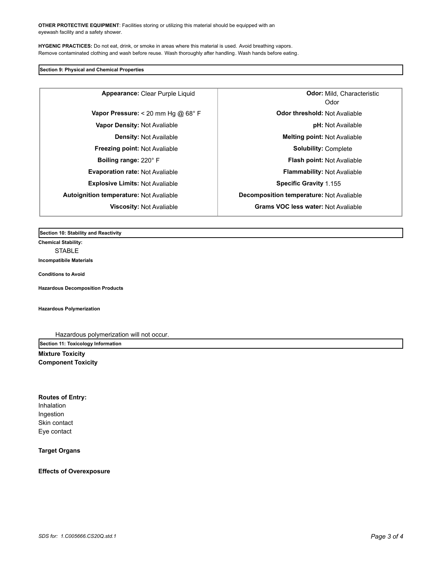**OTHER PROTECTIVE EQUIPMENT**: Facilities storing or utilizing this material should be equipped with an eyewash facility and a safety shower.

**HYGENIC PRACTICES:** Do not eat, drink, or smoke in areas where this material is used. Avoid breathing vapors. Remove contaminated clothing and wash before reuse. Wash thoroughly after handling. Wash hands before eating.

# **Section 9: Physical and Chemical Properties**

**Freezing point:** Not Avaliable **Solubility:** Complete **Explosive Limits:** Not Avaliable **Specific Gravity** 1.155 **Autoignition temperature:** Not Avaliable **Decomposition temperature:** Not Avaliable

**Appearance:** Clear Purple Liquid

Odor **Odor: Mild, Characteristic Vapor Pressure:** < 20 mm Hg @ 68° F **Department Constructs Constructs Odor threshold:** Not Avaliable **Vapor Density:** Not Avaliable **pH:** Not Available **Density:** Not Available **Melting point:** Not Avaliable **Boiling range:** 220° F **Flash point:** Not Avaliable **Evaporation rate:** Not Avaliable **Flammability:** Not Avaliable **Viscosity:** Not Avaliable **Grams VOC less water:** Not Avaliable

**Section 10: Stability and Reactivity** 

**Chemical Stability:** STABLE

**Incompatibile Materials** 

**Conditions to Avoid**

**Hazardous Decomposition Products**

**Hazardous Polymerization**

Hazardous polymerization will not occur.

**Section 11: Toxicology Information**

**Mixture Toxicity Component Toxicity**

**Routes of Entry:** Inhalation Ingestion Skin contact

Eye contact

**Target Organs**

**Effects of Overexposure**